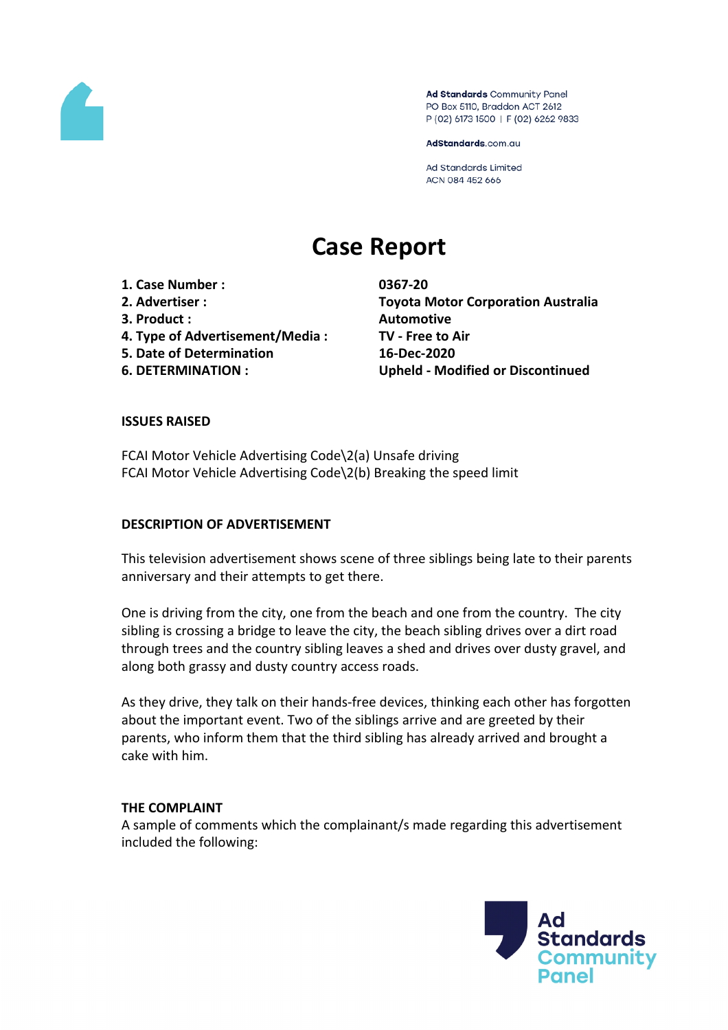

Ad Standards Community Panel PO Box 5110, Braddon ACT 2612 P (02) 6173 1500 | F (02) 6262 9833

AdStandards.com.au

Ad Standards Limited ACN 084 452 666

# **Case Report**

**1. Case Number : 0367-20 3. Product : Automotive 4. Type of Advertisement/Media : TV - Free to Air 5. Date of Determination 16-Dec-2020**

**2. Advertiser : Toyota Motor Corporation Australia 6. DETERMINATION : Upheld - Modified or Discontinued**

#### **ISSUES RAISED**

FCAI Motor Vehicle Advertising Code\2(a) Unsafe driving FCAI Motor Vehicle Advertising Code\2(b) Breaking the speed limit

#### **DESCRIPTION OF ADVERTISEMENT**

This television advertisement shows scene of three siblings being late to their parents anniversary and their attempts to get there.

One is driving from the city, one from the beach and one from the country. The city sibling is crossing a bridge to leave the city, the beach sibling drives over a dirt road through trees and the country sibling leaves a shed and drives over dusty gravel, and along both grassy and dusty country access roads.

As they drive, they talk on their hands-free devices, thinking each other has forgotten about the important event. Two of the siblings arrive and are greeted by their parents, who inform them that the third sibling has already arrived and brought a cake with him.

#### **THE COMPLAINT**

A sample of comments which the complainant/s made regarding this advertisement included the following:

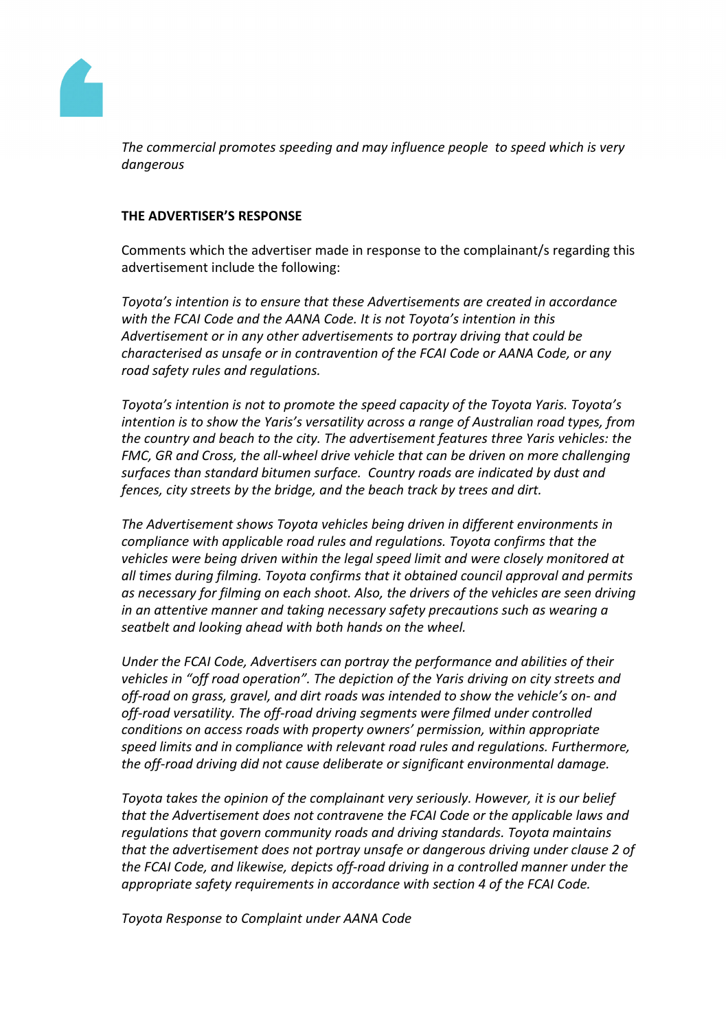

*The commercial promotes speeding and may influence people to speed which is very dangerous*

## **THE ADVERTISER'S RESPONSE**

Comments which the advertiser made in response to the complainant/s regarding this advertisement include the following:

*Toyota's intention is to ensure that these Advertisements are created in accordance with the FCAI Code and the AANA Code. It is not Toyota's intention in this Advertisement or in any other advertisements to portray driving that could be characterised as unsafe or in contravention of the FCAI Code or AANA Code, or any road safety rules and regulations.*

*Toyota's intention is not to promote the speed capacity of the Toyota Yaris. Toyota's intention is to show the Yaris's versatility across a range of Australian road types, from the country and beach to the city. The advertisement features three Yaris vehicles: the FMC, GR and Cross, the all-wheel drive vehicle that can be driven on more challenging surfaces than standard bitumen surface. Country roads are indicated by dust and fences, city streets by the bridge, and the beach track by trees and dirt.* 

*The Advertisement shows Toyota vehicles being driven in different environments in compliance with applicable road rules and regulations. Toyota confirms that the vehicles were being driven within the legal speed limit and were closely monitored at all times during filming. Toyota confirms that it obtained council approval and permits as necessary for filming on each shoot. Also, the drivers of the vehicles are seen driving in an attentive manner and taking necessary safety precautions such as wearing a seatbelt and looking ahead with both hands on the wheel.*

*Under the FCAI Code, Advertisers can portray the performance and abilities of their vehicles in "off road operation". The depiction of the Yaris driving on city streets and off-road on grass, gravel, and dirt roads was intended to show the vehicle's on- and off-road versatility. The off-road driving segments were filmed under controlled conditions on access roads with property owners' permission, within appropriate speed limits and in compliance with relevant road rules and regulations. Furthermore, the off-road driving did not cause deliberate or significant environmental damage.*

*Toyota takes the opinion of the complainant very seriously. However, it is our belief that the Advertisement does not contravene the FCAI Code or the applicable laws and regulations that govern community roads and driving standards. Toyota maintains that the advertisement does not portray unsafe or dangerous driving under clause 2 of the FCAI Code, and likewise, depicts off-road driving in a controlled manner under the appropriate safety requirements in accordance with section 4 of the FCAI Code.*

*Toyota Response to Complaint under AANA Code*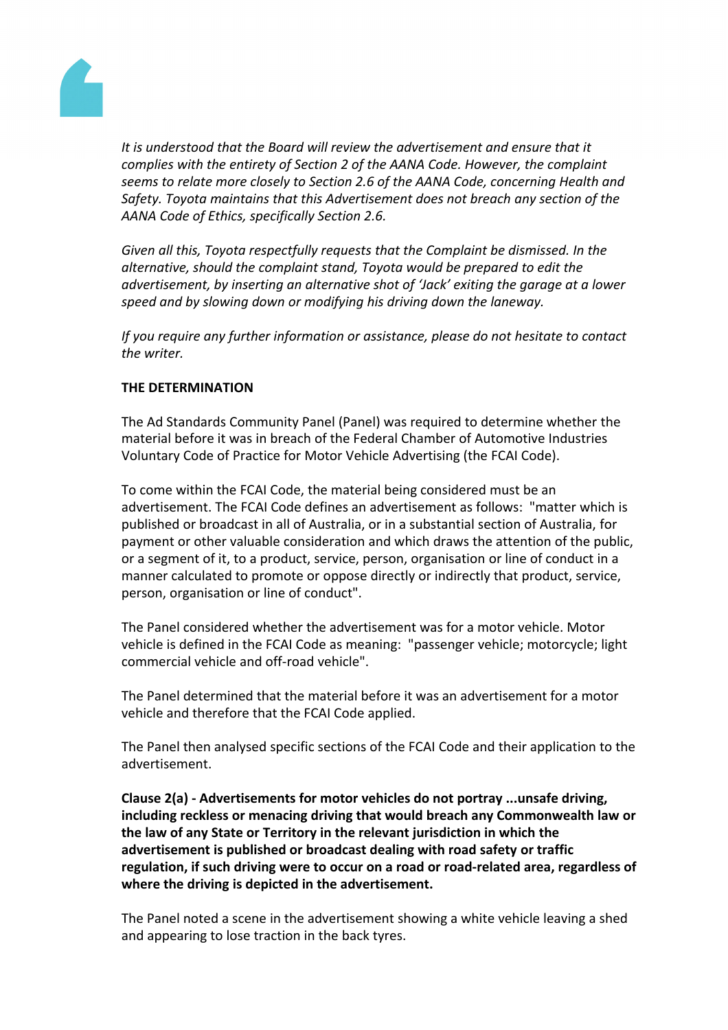

*It is understood that the Board will review the advertisement and ensure that it complies with the entirety of Section 2 of the AANA Code. However, the complaint seems to relate more closely to Section 2.6 of the AANA Code, concerning Health and Safety. Toyota maintains that this Advertisement does not breach any section of the AANA Code of Ethics, specifically Section 2.6.*

*Given all this, Toyota respectfully requests that the Complaint be dismissed. In the alternative, should the complaint stand, Toyota would be prepared to edit the advertisement, by inserting an alternative shot of 'Jack' exiting the garage at a lower speed and by slowing down or modifying his driving down the laneway.* 

*If you require any further information or assistance, please do not hesitate to contact the writer.*

## **THE DETERMINATION**

The Ad Standards Community Panel (Panel) was required to determine whether the material before it was in breach of the Federal Chamber of Automotive Industries Voluntary Code of Practice for Motor Vehicle Advertising (the FCAI Code).

To come within the FCAI Code, the material being considered must be an advertisement. The FCAI Code defines an advertisement as follows: "matter which is published or broadcast in all of Australia, or in a substantial section of Australia, for payment or other valuable consideration and which draws the attention of the public, or a segment of it, to a product, service, person, organisation or line of conduct in a manner calculated to promote or oppose directly or indirectly that product, service, person, organisation or line of conduct".

The Panel considered whether the advertisement was for a motor vehicle. Motor vehicle is defined in the FCAI Code as meaning: "passenger vehicle; motorcycle; light commercial vehicle and off-road vehicle".

The Panel determined that the material before it was an advertisement for a motor vehicle and therefore that the FCAI Code applied.

The Panel then analysed specific sections of the FCAI Code and their application to the advertisement.

**Clause 2(a) - Advertisements for motor vehicles do not portray ...unsafe driving, including reckless or menacing driving that would breach any Commonwealth law or the law of any State or Territory in the relevant jurisdiction in which the advertisement is published or broadcast dealing with road safety or traffic regulation, if such driving were to occur on a road or road-related area, regardless of where the driving is depicted in the advertisement.**

The Panel noted a scene in the advertisement showing a white vehicle leaving a shed and appearing to lose traction in the back tyres.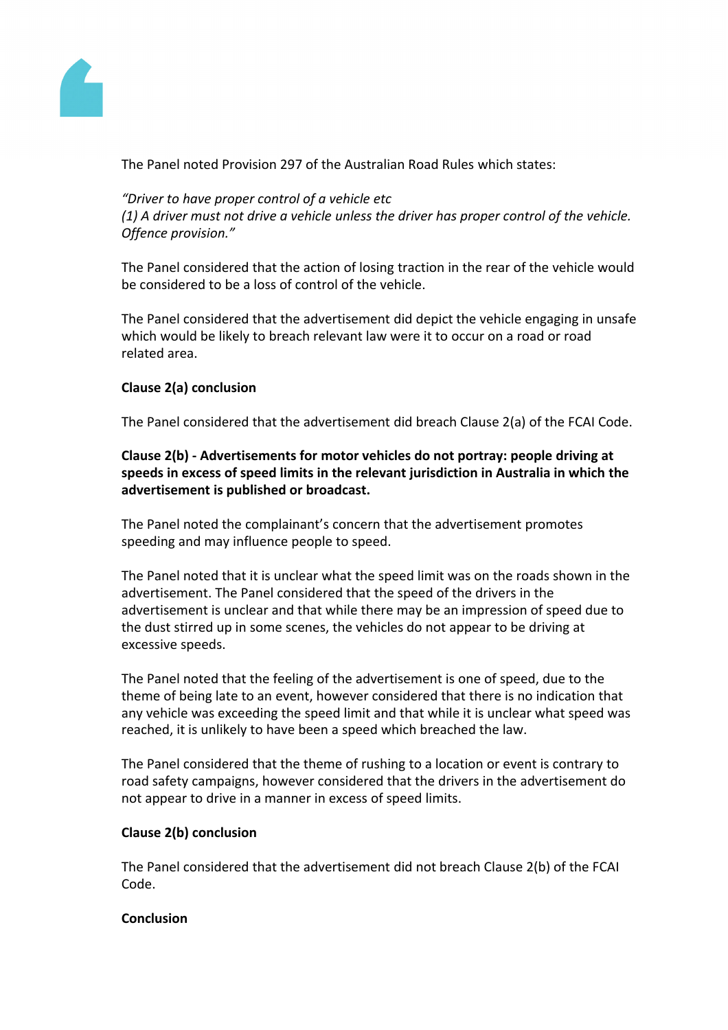

The Panel noted Provision 297 of the Australian Road Rules which states:

*"Driver to have proper control of a vehicle etc (1) A driver must not drive a vehicle unless the driver has proper control of the vehicle. Offence provision."*

The Panel considered that the action of losing traction in the rear of the vehicle would be considered to be a loss of control of the vehicle.

The Panel considered that the advertisement did depict the vehicle engaging in unsafe which would be likely to breach relevant law were it to occur on a road or road related area.

# **Clause 2(a) conclusion**

The Panel considered that the advertisement did breach Clause 2(a) of the FCAI Code.

# **Clause 2(b) - Advertisements for motor vehicles do not portray: people driving at speeds in excess of speed limits in the relevant jurisdiction in Australia in which the advertisement is published or broadcast.**

The Panel noted the complainant's concern that the advertisement promotes speeding and may influence people to speed.

The Panel noted that it is unclear what the speed limit was on the roads shown in the advertisement. The Panel considered that the speed of the drivers in the advertisement is unclear and that while there may be an impression of speed due to the dust stirred up in some scenes, the vehicles do not appear to be driving at excessive speeds.

The Panel noted that the feeling of the advertisement is one of speed, due to the theme of being late to an event, however considered that there is no indication that any vehicle was exceeding the speed limit and that while it is unclear what speed was reached, it is unlikely to have been a speed which breached the law.

The Panel considered that the theme of rushing to a location or event is contrary to road safety campaigns, however considered that the drivers in the advertisement do not appear to drive in a manner in excess of speed limits.

## **Clause 2(b) conclusion**

The Panel considered that the advertisement did not breach Clause 2(b) of the FCAI Code.

## **Conclusion**